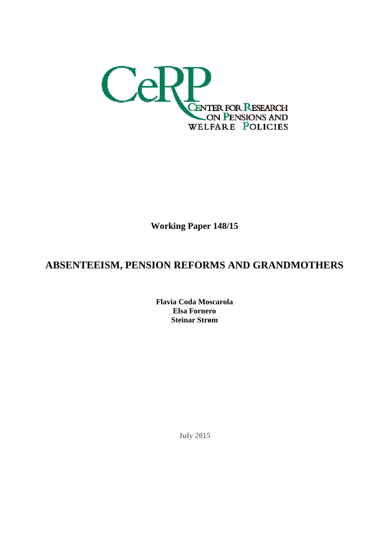

**Working Paper 148/15**

# **ABSENTEEISM, PENSION REFORMS AND GRANDMOTHERS**

**Flavia Coda Moscarola Elsa Fornero Steinar Strøm** 

**July 2015**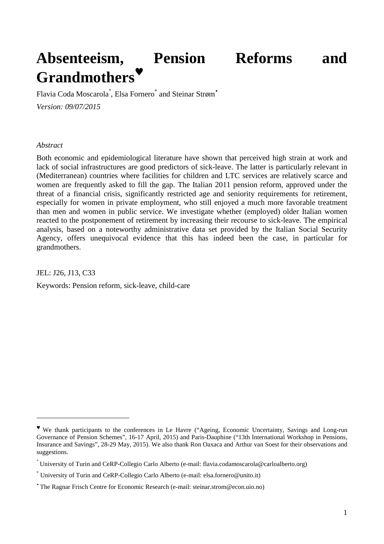# **Absenteeism, Pension Reforms and Grandmothers**♥

Flavia Coda Moscarola , Elsa Fornero and Steinar Strøm *Version: 09/07/2015* 

#### *Abstract*

Both economic and epidemiological literature have shown that perceived high strain at work and lack of social infrastructures are good predictors of sick-leave. The latter is particularly relevant in (Mediterranean) countries where facilities for children and LTC services are relatively scarce and women are frequently asked to fill the gap. The Italian 2011 pension reform, approved under the threat of a financial crisis, significantly restricted age and seniority requirements for retirement, especially for women in private employment, who still enjoyed a much more favorable treatment than men and women in public service. We investigate whether (employed) older Italian women reacted to the postponement of retirement by increasing their recourse to sick-leave. The empirical analysis, based on a noteworthy administrative data set provided by the Italian Social Security Agency, offers unequivocal evidence that this has indeed been the case, in particular for grandmothers.

JEL: J26, J13, C33

 $\overline{a}$ 

Keywords: Pension reform, sick-leave, child-care

<sup>♥</sup> We thank participants to the conferences in Le Havre ("Ageing, Economic Uncertainty, Savings and Long-run Governance of Pension Schemes", 16-17 April, 2015) and Paris-Dauphine ("13th International Workshop in Pensions, Insurance and Savings", 28-29 May, 2015). We also thank Ron Oaxaca and Arthur van Soest for their observations and suggestions.

<sup>°</sup> University of Turin and CeRP-Collegio Carlo Alberto (e-mail: flavia.codamoscarola@carloalberto.org)

<sup>\*</sup> University of Turin and CeRP-Collegio Carlo Alberto (e-mail: elsa.fornero@unito.it)

<sup>•</sup> The Ragnar Frisch Centre for Economic Research (e-mail: steinar.strom@econ.uio.no)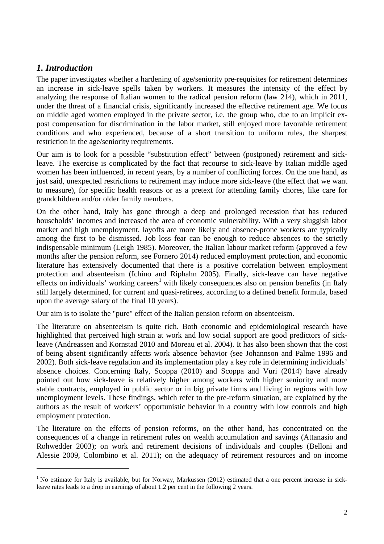# *1. Introduction*

 $\overline{a}$ 

The paper investigates whether a hardening of age/seniority pre-requisites for retirement determines an increase in sick-leave spells taken by workers. It measures the intensity of the effect by analyzing the response of Italian women to the radical pension reform (law 214), which in 2011, under the threat of a financial crisis, significantly increased the effective retirement age. We focus on middle aged women employed in the private sector, i.e. the group who, due to an implicit expost compensation for discrimination in the labor market, still enjoyed more favorable retirement conditions and who experienced, because of a short transition to uniform rules, the sharpest restriction in the age/seniority requirements.

Our aim is to look for a possible "substitution effect" between (postponed) retirement and sickleave. The exercise is complicated by the fact that recourse to sick-leave by Italian middle aged women has been influenced, in recent years, by a number of conflicting forces. On the one hand, as just said, unexpected restrictions to retirement may induce more sick-leave (the effect that we want to measure), for specific health reasons or as a pretext for attending family chores, like care for grandchildren and/or older family members.

On the other hand, Italy has gone through a deep and prolonged recession that has reduced households' incomes and increased the area of economic vulnerability. With a very sluggish labor market and high unemployment, layoffs are more likely and absence-prone workers are typically among the first to be dismissed. Job loss fear can be enough to reduce absences to the strictly indispensable minimum (Leigh 1985). Moreover, the Italian labour market reform (approved a few months after the pension reform, see Fornero 2014) reduced employment protection, and economic literature has extensively documented that there is a positive correlation between employment protection and absenteeism (Ichino and Riphahn 2005). Finally, sick-leave can have negative effects on individuals' working careers<sup>1</sup> with likely consequences also on pension benefits (in Italy still largely determined, for current and quasi-retirees, according to a defined benefit formula, based upon the average salary of the final 10 years).

Our aim is to isolate the "pure" effect of the Italian pension reform on absenteeism.

The literature on absenteeism is quite rich. Both economic and epidemiological research have highlighted that perceived high strain at work and low social support are good predictors of sickleave (Andreassen and Kornstad 2010 and Moreau et al. 2004). It has also been shown that the cost of being absent significantly affects work absence behavior (see Johannson and Palme 1996 and 2002). Both sick-leave regulation and its implementation play a key role in determining individuals' absence choices. Concerning Italy, Scoppa (2010) and Scoppa and Vuri (2014) have already pointed out how sick-leave is relatively higher among workers with higher seniority and more stable contracts, employed in public sector or in big private firms and living in regions with low unemployment levels. These findings, which refer to the pre-reform situation, are explained by the authors as the result of workers' opportunistic behavior in a country with low controls and high employment protection.

The literature on the effects of pension reforms, on the other hand, has concentrated on the consequences of a change in retirement rules on wealth accumulation and savings (Attanasio and Rohwedder 2003); on work and retirement decisions of individuals and couples (Belloni and Alessie 2009, Colombino et al. 2011); on the adequacy of retirement resources and on income

 $<sup>1</sup>$  No estimate for Italy is available, but for Norway, Markussen (2012) estimated that a one percent increase in sick-</sup> leave rates leads to a drop in earnings of about 1.2 per cent in the following 2 years.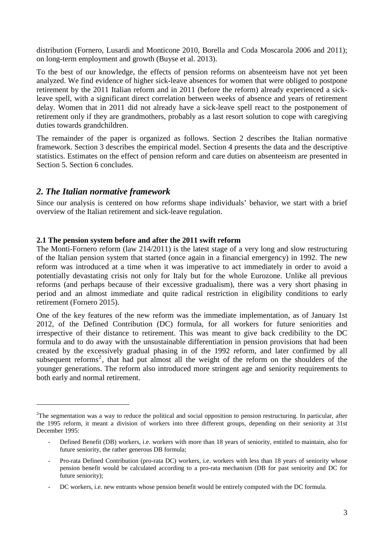distribution (Fornero, Lusardi and Monticone 2010, Borella and Coda Moscarola 2006 and 2011); on long-term employment and growth (Buyse et al. 2013).

To the best of our knowledge, the effects of pension reforms on absenteeism have not yet been analyzed. We find evidence of higher sick-leave absences for women that were obliged to postpone retirement by the 2011 Italian reform and in 2011 (before the reform) already experienced a sickleave spell, with a significant direct correlation between weeks of absence and years of retirement delay. Women that in 2011 did not already have a sick-leave spell react to the postponement of retirement only if they are grandmothers, probably as a last resort solution to cope with caregiving duties towards grandchildren.

The remainder of the paper is organized as follows. Section 2 describes the Italian normative framework. Section 3 describes the empirical model. Section 4 presents the data and the descriptive statistics. Estimates on the effect of pension reform and care duties on absenteeism are presented in Section 5. Section 6 concludes.

## *2. The Italian normative framework*

 $\overline{a}$ 

Since our analysis is centered on how reforms shape individuals' behavior, we start with a brief overview of the Italian retirement and sick-leave regulation.

#### **2.1 The pension system before and after the 2011 swift reform**

The Monti-Fornero reform (law 214/2011) is the latest stage of a very long and slow restructuring of the Italian pension system that started (once again in a financial emergency) in 1992. The new reform was introduced at a time when it was imperative to act immediately in order to avoid a potentially devastating crisis not only for Italy but for the whole Eurozone. Unlike all previous reforms (and perhaps because of their excessive gradualism), there was a very short phasing in period and an almost immediate and quite radical restriction in eligibility conditions to early retirement (Fornero 2015).

One of the key features of the new reform was the immediate implementation, as of January 1st 2012, of the Defined Contribution (DC) formula, for all workers for future seniorities and irrespective of their distance to retirement. This was meant to give back credibility to the DC formula and to do away with the unsustainable differentiation in pension provisions that had been created by the excessively gradual phasing in of the 1992 reform, and later confirmed by all subsequent reforms<sup>2</sup>, that had put almost all the weight of the reform on the shoulders of the younger generations. The reform also introduced more stringent age and seniority requirements to both early and normal retirement.

 $2$ The segmentation was a way to reduce the political and social opposition to pension restructuring. In particular, after the 1995 reform, it meant a division of workers into three different groups, depending on their seniority at 31st December 1995:

Defined Benefit (DB) workers, i.e. workers with more than 18 years of seniority, entitled to maintain, also for future seniority, the rather generous DB formula;

<sup>-</sup> Pro-rata Defined Contribution (pro-rata DC) workers, i.e. workers with less than 18 years of seniority whose pension benefit would be calculated according to a pro-rata mechanism (DB for past seniority and DC for future seniority);

DC workers, i.e. new entrants whose pension benefit would be entirely computed with the DC formula.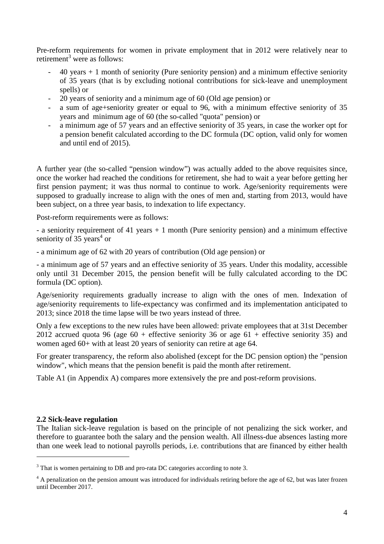Pre-reform requirements for women in private employment that in 2012 were relatively near to retirement<sup>3</sup> were as follows:

- $40$  years  $+ 1$  month of seniority (Pure seniority pension) and a minimum effective seniority of 35 years (that is by excluding notional contributions for sick-leave and unemployment spells) or
- 20 years of seniority and a minimum age of 60 (Old age pension) or
- a sum of age+seniority greater or equal to 96, with a minimum effective seniority of 35 years and minimum age of 60 (the so-called "quota" pension) or
- a minimum age of 57 years and an effective seniority of 35 years, in case the worker opt for a pension benefit calculated according to the DC formula (DC option, valid only for women and until end of 2015).

A further year (the so-called "pension window") was actually added to the above requisites since, once the worker had reached the conditions for retirement, she had to wait a year before getting her first pension payment; it was thus normal to continue to work. Age/seniority requirements were supposed to gradually increase to align with the ones of men and, starting from 2013, would have been subject, on a three year basis, to indexation to life expectancy.

Post-reform requirements were as follows:

- a seniority requirement of 41 years + 1 month (Pure seniority pension) and a minimum effective seniority of  $35 \text{ years}^4$  or

- a minimum age of 62 with 20 years of contribution (Old age pension) or

- a minimum age of 57 years and an effective seniority of 35 years. Under this modality, accessible only until 31 December 2015, the pension benefit will be fully calculated according to the DC formula (DC option).

Age/seniority requirements gradually increase to align with the ones of men. Indexation of age/seniority requirements to life-expectancy was confirmed and its implementation anticipated to 2013; since 2018 the time lapse will be two years instead of three.

Only a few exceptions to the new rules have been allowed: private employees that at 31st December 2012 accrued quota 96 (age  $60 +$  effective seniority 36 or age  $61 +$  effective seniority 35) and women aged 60+ with at least 20 years of seniority can retire at age 64.

For greater transparency, the reform also abolished (except for the DC pension option) the "pension window", which means that the pension benefit is paid the month after retirement.

Table A1 (in Appendix A) compares more extensively the pre and post-reform provisions.

#### **2.2 Sick-leave regulation**

 $\overline{a}$ 

The Italian sick-leave regulation is based on the principle of not penalizing the sick worker, and therefore to guarantee both the salary and the pension wealth. All illness-due absences lasting more than one week lead to notional payrolls periods, i.e. contributions that are financed by either health

 $3$  That is women pertaining to DB and pro-rata DC categories according to note 3.

<sup>&</sup>lt;sup>4</sup> A penalization on the pension amount was introduced for individuals retiring before the age of 62, but was later frozen until December 2017.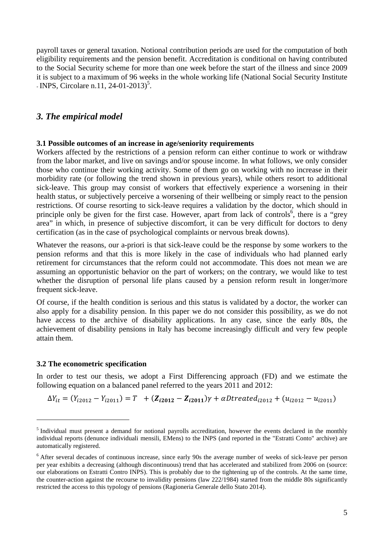payroll taxes or general taxation. Notional contribution periods are used for the computation of both eligibility requirements and the pension benefit. Accreditation is conditional on having contributed to the Social Security scheme for more than one week before the start of the illness and since 2009 it is subject to a maximum of 96 weeks in the whole working life (National Social Security Institute - INPS, Circolare n.11, 24-01-2013)<sup>5</sup>.

#### *3. The empirical model*

#### **3.1 Possible outcomes of an increase in age/seniority requirements**

Workers affected by the restrictions of a pension reform can either continue to work or withdraw from the labor market, and live on savings and/or spouse income. In what follows, we only consider those who continue their working activity. Some of them go on working with no increase in their morbidity rate (or following the trend shown in previous years), while others resort to additional sick-leave. This group may consist of workers that effectively experience a worsening in their health status, or subjectively perceive a worsening of their wellbeing or simply react to the pension restrictions. Of course resorting to sick-leave requires a validation by the doctor, which should in principle only be given for the first case. However, apart from lack of controls<sup>6</sup>, there is a "grey area" in which, in presence of subjective discomfort, it can be very difficult for doctors to deny certification (as in the case of psychological complaints or nervous break downs).

Whatever the reasons, our a-priori is that sick-leave could be the response by some workers to the pension reforms and that this is more likely in the case of individuals who had planned early retirement for circumstances that the reform could not accommodate. This does not mean we are assuming an opportunistic behavior on the part of workers; on the contrary, we would like to test whether the disruption of personal life plans caused by a pension reform result in longer/more frequent sick-leave.

Of course, if the health condition is serious and this status is validated by a doctor, the worker can also apply for a disability pension. In this paper we do not consider this possibility, as we do not have access to the archive of disability applications. In any case, since the early 80s, the achievement of disability pensions in Italy has become increasingly difficult and very few people attain them.

#### **3.2 The econometric specification**

 $\overline{a}$ 

In order to test our thesis, we adopt a First Differencing approach (FD) and we estimate the following equation on a balanced panel referred to the years 2011 and 2012:

$$
\Delta Y_{it} = (Y_{i2012} - Y_{i2011}) = T + (Z_{i2012} - Z_{i2011})\gamma + \alpha Dtreated_{i2012} + (u_{i2012} - u_{i2011})
$$

<sup>&</sup>lt;sup>5</sup> Individual must present a demand for notional payrolls accreditation, however the events declared in the monthly individual reports (denunce individuali mensili, EMens) to the INPS (and reported in the "Estratti Conto" archive) are automatically registered.

<sup>&</sup>lt;sup>6</sup> After several decades of continuous increase, since early 90s the average number of weeks of sick-leave per person per year exhibits a decreasing (although discontinuous) trend that has accelerated and stabilized from 2006 on (source: our elaborations on Estratti Contro INPS). This is probably due to the tightening up of the controls. At the same time, the counter-action against the recourse to invalidity pensions (law 222/1984) started from the middle 80s significantly restricted the access to this typology of pensions (Ragioneria Generale dello Stato 2014).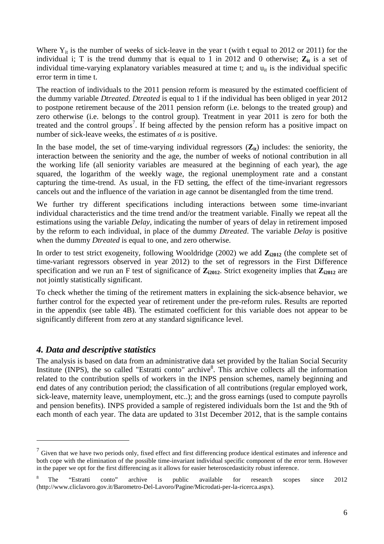Where  $Y_{it}$  is the number of weeks of sick-leave in the year t (with t equal to 2012 or 2011) for the individual i; T is the trend dummy that is equal to 1 in 2012 and 0 otherwise;  $\mathbf{Z}_{it}$  is a set of individual time-varying explanatory variables measured at time  $t$ ; and  $u_{it}$  is the individual specific error term in time t.

The reaction of individuals to the 2011 pension reform is measured by the estimated coefficient of the dummy variable *Dtreated*. *Dtreated* is equal to 1 if the individual has been obliged in year 2012 to postpone retirement because of the 2011 pension reform (i.e. belongs to the treated group) and zero otherwise (i.e. belongs to the control group). Treatment in year 2011 is zero for both the treated and the control groups<sup>7</sup>. If being affected by the pension reform has a positive impact on number of sick-leave weeks, the estimates of  $\alpha$  is positive.

In the base model, the set of time-varying individual regressors  $(\mathbf{Z}_{it})$  includes: the seniority, the interaction between the seniority and the age, the number of weeks of notional contribution in all the working life (all seniority variables are measured at the beginning of each year), the age squared, the logarithm of the weekly wage, the regional unemployment rate and a constant capturing the time-trend. As usual, in the FD setting, the effect of the time-invariant regressors cancels out and the influence of the variation in age cannot be disentangled from the time trend.

We further try different specifications including interactions between some time-invariant individual characteristics and the time trend and/or the treatment variable. Finally we repeat all the estimations using the variable *Delay*, indicating the number of years of delay in retirement imposed by the reform to each individual, in place of the dummy *Dtreated*. The variable *Delay* is positive when the dummy *Dtreated* is equal to one, and zero otherwise.

In order to test strict exogeneity, following Wooldridge (2002) we add  $\mathbb{Z}_{12012}$  (the complete set of time-variant regressors observed in year 2012) to the set of regressors in the First Difference specification and we run an F test of significance of  $\mathbb{Z}_{12012}$ . Strict exogeneity implies that  $\mathbb{Z}_{12012}$  are not jointly statistically significant.

To check whether the timing of the retirement matters in explaining the sick-absence behavior, we further control for the expected year of retirement under the pre-reform rules. Results are reported in the appendix (see table 4B). The estimated coefficient for this variable does not appear to be significantly different from zero at any standard significance level.

# *4. Data and descriptive statistics*

 $\overline{a}$ 

The analysis is based on data from an administrative data set provided by the Italian Social Security Institute (INPS), the so called "Estratti conto" archive<sup>8</sup>. This archive collects all the information related to the contribution spells of workers in the INPS pension schemes, namely beginning and end dates of any contribution period; the classification of all contributions (regular employed work, sick-leave, maternity leave, unemployment, etc..); and the gross earnings (used to compute payrolls and pension benefits). INPS provided a sample of registered individuals born the 1st and the 9th of each month of each year. The data are updated to 31st December 2012, that is the sample contains

 $<sup>7</sup>$  Given that we have two periods only, fixed effect and first differencing produce identical estimates and inference and</sup> both cope with the elimination of the possible time-invariant individual specific component of the error term. However in the paper we opt for the first differencing as it allows for easier heteroscedasticity robust inference.

<sup>8</sup> The "Estratti conto" archive is public available for research scopes since 2012 (http://www.cliclavoro.gov.it/Barometro-Del-Lavoro/Pagine/Microdati-per-la-ricerca.aspx).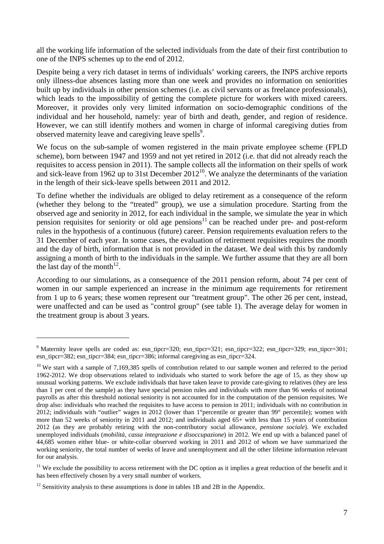all the working life information of the selected individuals from the date of their first contribution to one of the INPS schemes up to the end of 2012.

Despite being a very rich dataset in terms of individuals' working careers, the INPS archive reports only illness-due absences lasting more than one week and provides no information on seniorities built up by individuals in other pension schemes (i.e. as civil servants or as freelance professionals), which leads to the impossibility of getting the complete picture for workers with mixed careers. Moreover, it provides only very limited information on socio-demographic conditions of the individual and her household, namely: year of birth and death, gender, and region of residence. However, we can still identify mothers and women in charge of informal caregiving duties from observed maternity leave and caregiving leave spells<sup>9</sup>.

We focus on the sub-sample of women registered in the main private employee scheme (FPLD scheme), born between 1947 and 1959 and not yet retired in 2012 (i.e. that did not already reach the requisites to access pension in 2011). The sample collects all the information on their spells of work and sick-leave from 1962 up to 31st December  $2012^{10}$ . We analyze the determinants of the variation in the length of their sick-leave spells between 2011 and 2012.

To define whether the individuals are obliged to delay retirement as a consequence of the reform (whether they belong to the "treated" group), we use a simulation procedure. Starting from the observed age and seniority in 2012, for each individual in the sample, we simulate the year in which pension requisites for seniority or old age pensions<sup>11</sup> can be reached under pre- and post-reform rules in the hypothesis of a continuous (future) career. Pension requirements evaluation refers to the 31 December of each year. In some cases, the evaluation of retirement requisites requires the month and the day of birth, information that is not provided in the dataset. We deal with this by randomly assigning a month of birth to the individuals in the sample. We further assume that they are all born the last day of the month<sup>12</sup>.

According to our simulations, as a consequence of the 2011 pension reform, about 74 per cent of women in our sample experienced an increase in the minimum age requirements for retirement from 1 up to 6 years; these women represent our "treatment group". The other 26 per cent, instead, were unaffected and can be used as "control group" (see table 1). The average delay for women in the treatment group is about 3 years.

 $\overline{a}$ 

<sup>&</sup>lt;sup>9</sup> Maternity leave spells are coded as: esn\_tipcr=320; esn\_tipcr=321; esn\_tipcr=322; esn\_tipcr=329; esn\_tipcr=301; esn\_tipcr=382; esn\_tipcr=384; esn\_tipcr=386; informal caregiving as esn\_tipcr=324.

<sup>&</sup>lt;sup>10</sup> We start with a sample of 7,169,385 spells of contribution related to our sample women and referred to the period 1962-2012. We drop observations related to individuals who started to work before the age of 15, as they show up unusual working patterns. We exclude individuals that have taken leave to provide care-giving to relatives (they are less than 1 per cent of the sample) as they have special pension rules and individuals with more than 96 weeks of notional payrolls as after this threshold notional seniority is not accounted for in the computation of the pension requisites. We drop also: individuals who reached the requisites to have access to pension in 2011; individuals with no contribution in 2012; individuals with "outlier" wages in 2012 (lower than 1°percentile or greater than 99° percentile); women with more than 52 weeks of seniority in 2011 and 2012; and individuals aged 65+ with less than 15 years of contribution 2012 (as they are probably retiring with the non-contributory social allowance, *pensione sociale*). We excluded unemployed individuals (*mobilità, cassa integrazione e disoccupazione*) in 2012. We end up with a balanced panel of 44,685 women either blue- or white-collar observed working in 2011 and 2012 of whom we have summarized the working seniority, the total number of weeks of leave and unemployment and all the other lifetime information relevant for our analysis.

 $11$  We exclude the possibility to access retirement with the DC option as it implies a great reduction of the benefit and it has been effectively chosen by a very small number of workers.

<sup>&</sup>lt;sup>12</sup> Sensitivity analysis to these assumptions is done in tables 1B and 2B in the Appendix.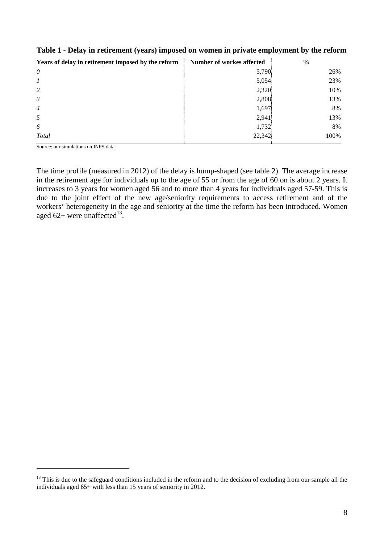| Years of delay in retirement imposed by the reform | <b>Number of workes affected</b> | $\frac{6}{9}$ |
|----------------------------------------------------|----------------------------------|---------------|
| $\theta$                                           | 5,790                            | 26%           |
|                                                    | 5,054                            | 23%           |
| 2                                                  | 2,320                            | 10%           |
| $\mathfrak{Z}$                                     | 2,808                            | 13%           |
| $\overline{4}$                                     | 1,697                            | 8%            |
| 5                                                  | 2,941                            | 13%           |
| 6                                                  | 1,732                            | 8%            |
| <b>Total</b>                                       | 22,342                           | 100%          |

## **Table 1 - Delay in retirement (years) imposed on women in private employment by the reform**

Source: our simulations on INPS data.

 $\overline{a}$ 

The time profile (measured in 2012) of the delay is hump-shaped (see table 2). The average increase in the retirement age for individuals up to the age of 55 or from the age of 60 on is about 2 years. It increases to 3 years for women aged 56 and to more than 4 years for individuals aged 57-59. This is due to the joint effect of the new age/seniority requirements to access retirement and of the workers' heterogeneity in the age and seniority at the time the reform has been introduced. Women aged  $62+$  were unaffected<sup>13</sup>.

<sup>&</sup>lt;sup>13</sup> This is due to the safeguard conditions included in the reform and to the decision of excluding from our sample all the individuals aged 65+ with less than 15 years of seniority in 2012.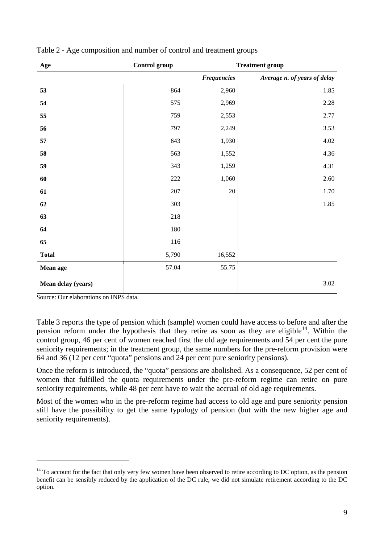| Age                | Control group |                    | <b>Treatment group</b>       |
|--------------------|---------------|--------------------|------------------------------|
|                    |               | <b>Frequencies</b> | Average n. of years of delay |
| 53                 | 864           | 2,960              | 1.85                         |
| 54                 | 575           | 2,969              | 2.28                         |
| 55                 | 759           | 2,553              | 2.77                         |
| 56                 | 797           | 2,249              | 3.53                         |
| 57                 | 643           | 1,930              | 4.02                         |
| 58                 | 563           | 1,552              | 4.36                         |
| 59                 | 343           | 1,259              | 4.31                         |
| 60                 | 222           | 1,060              | 2.60                         |
| 61                 | 207           | 20                 | 1.70                         |
| 62                 | 303           |                    | 1.85                         |
| 63                 | 218           |                    |                              |
| 64                 | 180           |                    |                              |
| 65                 | 116           |                    |                              |
| <b>Total</b>       | 5,790         | 16,552             |                              |
| Mean age           | 57.04         | 55.75              |                              |
| Mean delay (years) |               |                    | 3.02                         |

Table 2 - Age composition and number of control and treatment groups

Source: Our elaborations on INPS data.

 $\overline{a}$ 

Table 3 reports the type of pension which (sample) women could have access to before and after the pension reform under the hypothesis that they retire as soon as they are eligible<sup>14</sup>. Within the control group, 46 per cent of women reached first the old age requirements and 54 per cent the pure seniority requirements; in the treatment group, the same numbers for the pre-reform provision were 64 and 36 (12 per cent "quota" pensions and 24 per cent pure seniority pensions).

Once the reform is introduced, the "quota" pensions are abolished. As a consequence, 52 per cent of women that fulfilled the quota requirements under the pre-reform regime can retire on pure seniority requirements, while 48 per cent have to wait the accrual of old age requirements.

Most of the women who in the pre-reform regime had access to old age and pure seniority pension still have the possibility to get the same typology of pension (but with the new higher age and seniority requirements).

 $14$  To account for the fact that only very few women have been observed to retire according to DC option, as the pension benefit can be sensibly reduced by the application of the DC rule, we did not simulate retirement according to the DC option.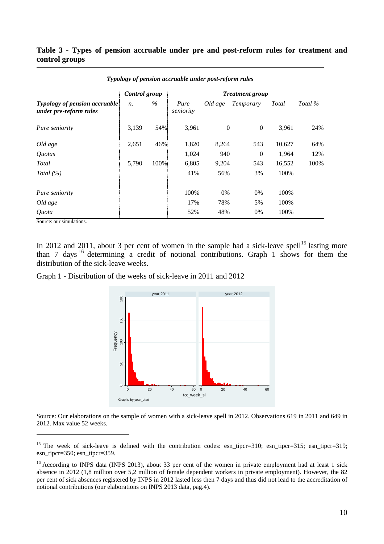#### **Table 3 - Types of pension accruable under pre and post-reform rules for treatment and control groups**

|                                                                | Control group |      |                   |              | <b>Treatment</b> group |        |         |
|----------------------------------------------------------------|---------------|------|-------------------|--------------|------------------------|--------|---------|
| <b>Typology of pension accruable</b><br>under pre-reform rules | $n_{\cdot}$   | $\%$ | Pure<br>seniority | Old age      | Temporary              | Total  | Total % |
| Pure seniority                                                 | 3,139         | 54%  | 3,961             | $\mathbf{0}$ | $\boldsymbol{0}$       | 3,961  | 24%     |
| Old age                                                        | 2,651         | 46%  | 1,820             | 8,264        | 543                    | 10,627 | 64%     |
| Quotas                                                         |               |      | 1,024             | 940          | $\theta$               | 1,964  | 12%     |
| Total                                                          | 5,790         | 100% | 6,805             | 9,204        | 543                    | 16,552 | 100%    |
| Total $(\% )$                                                  |               |      | 41%               | 56%          | 3%                     | 100%   |         |
| Pure seniority                                                 |               |      | 100%              | 0%           | 0%                     | 100%   |         |
| Old age                                                        |               |      | 17%               | 78%          | 5%                     | 100%   |         |
| Quota                                                          |               |      | 52%               | 48%          | 0%                     | 100%   |         |

*Typology of pension accruable under post-reform rules* 

Source: our simulations.

 $\overline{a}$ 

In 2012 and 2011, about 3 per cent of women in the sample had a sick-leave spell<sup>15</sup> lasting more than 7 days  $16$  determining a credit of notional contributions. Graph 1 shows for them the distribution of the sick-leave weeks.



Graph 1 - Distribution of the weeks of sick-leave in 2011 and 2012

Source: Our elaborations on the sample of women with a sick-leave spell in 2012. Observations 619 in 2011 and 649 in 2012. Max value 52 weeks.

<sup>&</sup>lt;sup>15</sup> The week of sick-leave is defined with the contribution codes: esn tipcr=310; esn tipcr=315; esn tipcr=319; esn tipcr=350; esn tipcr=359.

<sup>&</sup>lt;sup>16</sup> According to INPS data (INPS 2013), about 33 per cent of the women in private employment had at least 1 sick absence in 2012 (1,8 million over 5,2 million of female dependent workers in private employment). However, the 82 per cent of sick absences registered by INPS in 2012 lasted less then 7 days and thus did not lead to the accreditation of notional contributions (our elaborations on INPS 2013 data, pag.4).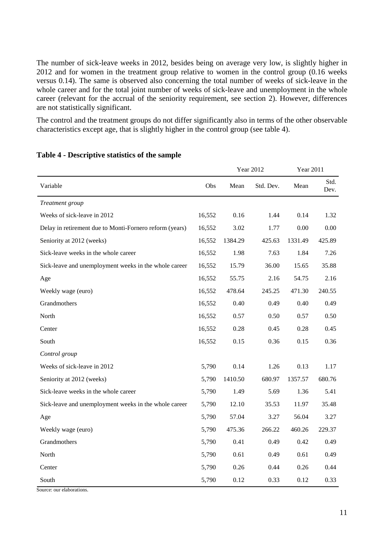The number of sick-leave weeks in 2012, besides being on average very low, is slightly higher in 2012 and for women in the treatment group relative to women in the control group (0.16 weeks versus 0.14). The same is observed also concerning the total number of weeks of sick-leave in the whole career and for the total joint number of weeks of sick-leave and unemployment in the whole career (relevant for the accrual of the seniority requirement, see section 2). However, differences are not statistically significant.

The control and the treatment groups do not differ significantly also in terms of the other observable characteristics except age, that is slightly higher in the control group (see table 4).

|                                                         |        |         | <b>Year 2012</b> | <b>Year 2011</b> |              |
|---------------------------------------------------------|--------|---------|------------------|------------------|--------------|
| Variable                                                | Obs    | Mean    | Std. Dev.        | Mean             | Std.<br>Dev. |
| Treatment group                                         |        |         |                  |                  |              |
| Weeks of sick-leave in 2012                             | 16,552 | 0.16    | 1.44             | 0.14             | 1.32         |
| Delay in retirement due to Monti-Fornero reform (years) | 16,552 | 3.02    | 1.77             | 0.00             | 0.00         |
| Seniority at 2012 (weeks)                               | 16,552 | 1384.29 | 425.63           | 1331.49          | 425.89       |
| Sick-leave weeks in the whole career                    | 16,552 | 1.98    | 7.63             | 1.84             | 7.26         |
| Sick-leave and unemployment weeks in the whole career   | 16,552 | 15.79   | 36.00            | 15.65            | 35.88        |
| Age                                                     | 16,552 | 55.75   | 2.16             | 54.75            | 2.16         |
| Weekly wage (euro)                                      | 16,552 | 478.64  | 245.25           | 471.30           | 240.55       |
| Grandmothers                                            | 16,552 | 0.40    | 0.49             | 0.40             | 0.49         |
| North                                                   | 16,552 | 0.57    | 0.50             | 0.57             | 0.50         |
| Center                                                  | 16,552 | 0.28    | 0.45             | 0.28             | 0.45         |
| South                                                   | 16,552 | 0.15    | 0.36             | 0.15             | 0.36         |
| Control group                                           |        |         |                  |                  |              |
| Weeks of sick-leave in 2012                             | 5,790  | 0.14    | 1.26             | 0.13             | 1.17         |
| Seniority at 2012 (weeks)                               | 5,790  | 1410.50 | 680.97           | 1357.57          | 680.76       |
| Sick-leave weeks in the whole career                    | 5,790  | 1.49    | 5.69             | 1.36             | 5.41         |
| Sick-leave and unemployment weeks in the whole career   | 5,790  | 12.10   | 35.53            | 11.97            | 35.48        |
| Age                                                     | 5,790  | 57.04   | 3.27             | 56.04            | 3.27         |
| Weekly wage (euro)                                      | 5,790  | 475.36  | 266.22           | 460.26           | 229.37       |
| Grandmothers                                            | 5,790  | 0.41    | 0.49             | 0.42             | 0.49         |
| North                                                   | 5,790  | 0.61    | 0.49             | 0.61             | 0.49         |
| Center                                                  | 5,790  | 0.26    | 0.44             | 0.26             | 0.44         |
| South                                                   | 5,790  | 0.12    | 0.33             | 0.12             | 0.33         |

#### **Table 4 - Descriptive statistics of the sample**

Source: our elaborations.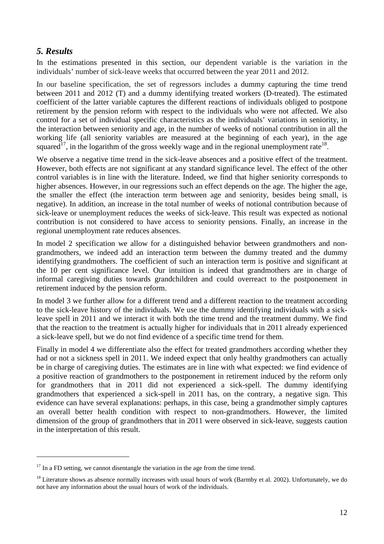# *5. Results*

 $\overline{a}$ 

In the estimations presented in this section, our dependent variable is the variation in the individuals' number of sick-leave weeks that occurred between the year 2011 and 2012.

In our baseline specification, the set of regressors includes a dummy capturing the time trend between 2011 and 2012 (T) and a dummy identifying treated workers (D-treated). The estimated coefficient of the latter variable captures the different reactions of individuals obliged to postpone retirement by the pension reform with respect to the individuals who were not affected. We also control for a set of individual specific characteristics as the individuals' variations in seniority, in the interaction between seniority and age, in the number of weeks of notional contribution in all the working life (all seniority variables are measured at the beginning of each year), in the age squared<sup>17</sup>, in the logarithm of the gross weekly wage and in the regional unemployment rate<sup>18</sup>.

We observe a negative time trend in the sick-leave absences and a positive effect of the treatment. However, both effects are not significant at any standard significance level. The effect of the other control variables is in line with the literature. Indeed, we find that higher seniority corresponds to higher absences. However, in our regressions such an effect depends on the age. The higher the age, the smaller the effect (the interaction term between age and seniority, besides being small, is negative). In addition, an increase in the total number of weeks of notional contribution because of sick-leave or unemployment reduces the weeks of sick-leave. This result was expected as notional contribution is not considered to have access to seniority pensions. Finally, an increase in the regional unemployment rate reduces absences.

In model 2 specification we allow for a distinguished behavior between grandmothers and nongrandmothers, we indeed add an interaction term between the dummy treated and the dummy identifying grandmothers. The coefficient of such an interaction term is positive and significant at the 10 per cent significance level. Our intuition is indeed that grandmothers are in charge of informal caregiving duties towards grandchildren and could overreact to the postponement in retirement induced by the pension reform.

In model 3 we further allow for a different trend and a different reaction to the treatment according to the sick-leave history of the individuals. We use the dummy identifying individuals with a sickleave spell in 2011 and we interact it with both the time trend and the treatment dummy. We find that the reaction to the treatment is actually higher for individuals that in 2011 already experienced a sick-leave spell, but we do not find evidence of a specific time trend for them.

Finally in model 4 we differentiate also the effect for treated grandmothers according whether they had or not a sickness spell in 2011. We indeed expect that only healthy grandmothers can actually be in charge of caregiving duties. The estimates are in line with what expected: we find evidence of a positive reaction of grandmothers to the postponement in retirement induced by the reform only for grandmothers that in 2011 did not experienced a sick-spell. The dummy identifying grandmothers that experienced a sick-spell in 2011 has, on the contrary, a negative sign. This evidence can have several explanations: perhaps, in this case, being a grandmother simply captures an overall better health condition with respect to non-grandmothers. However, the limited dimension of the group of grandmothers that in 2011 were observed in sick-leave, suggests caution in the interpretation of this result.

 $17$  In a FD setting, we cannot disentangle the variation in the age from the time trend.

 $18$  Literature shows as absence normally increases with usual hours of work (Barmby et al. 2002). Unfortunately, we do not have any information about the usual hours of work of the individuals.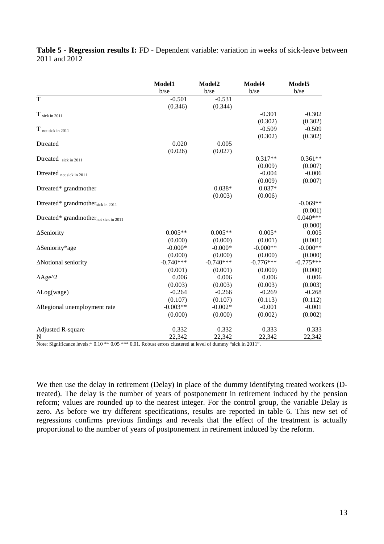|                                               | Model1      | Model2      | Model4      | Model5      |
|-----------------------------------------------|-------------|-------------|-------------|-------------|
|                                               | $b$ /se     | $b$ /se     | b/se        | b/se        |
| T                                             | $-0.501$    | $-0.531$    |             |             |
|                                               | (0.346)     | (0.344)     |             |             |
| $T$ sick in 2011                              |             |             | $-0.301$    | $-0.302$    |
|                                               |             |             | (0.302)     | (0.302)     |
| $T$ not sick in 2011                          |             |             | $-0.509$    | $-0.509$    |
|                                               |             |             | (0.302)     | (0.302)     |
| Dtreated                                      | 0.020       | 0.005       |             |             |
|                                               | (0.026)     | (0.027)     |             |             |
| Dtreated sick in 2011                         |             |             | $0.317**$   | $0.361**$   |
|                                               |             |             | (0.009)     | (0.007)     |
| Dtreated not sick in 2011                     |             |             | $-0.004$    | $-0.006$    |
|                                               |             |             | (0.009)     | (0.007)     |
| Dtreated* grandmother                         |             | $0.038*$    | $0.037*$    |             |
|                                               |             | (0.003)     | (0.006)     |             |
| Dtreated* grandmother <sub>sick in 2011</sub> |             |             |             | $-0.069**$  |
|                                               |             |             |             | (0.001)     |
| Dtreated* grandmothernot sick in 2011         |             |             |             | $0.040***$  |
|                                               |             |             |             | (0.000)     |
| ∆Seniority                                    | $0.005**$   | $0.005**$   | $0.005*$    | 0.005       |
|                                               | (0.000)     | (0.000)     | (0.001)     | (0.001)     |
| ∆Seniority*age                                | $-0.000*$   | $-0.000*$   | $-0.000**$  | $-0.000**$  |
|                                               | (0.000)     | (0.000)     | (0.000)     | (0.000)     |
| ΔNotional seniority                           | $-0.740***$ | $-0.740***$ | $-0.776***$ | $-0.775***$ |
|                                               | (0.001)     | (0.001)     | (0.000)     | (0.000)     |
| $\triangle$ Age <sup>^2</sup>                 | 0.006       | 0.006       | 0.006       | 0.006       |
|                                               | (0.003)     | (0.003)     | (0.003)     | (0.003)     |
| $\Delta$ Log(wage)                            | $-0.264$    | $-0.266$    | $-0.269$    | $-0.268$    |
|                                               | (0.107)     | (0.107)     | (0.113)     | (0.112)     |
| $\Delta$ Regional unemployment rate           | $-0.003**$  | $-0.002*$   | $-0.001$    | $-0.001$    |
|                                               | (0.000)     | (0.000)     | (0.002)     | (0.002)     |
| <b>Adjusted R-square</b>                      | 0.332       | 0.332       | 0.333       | 0.333       |
| N                                             | 22,342      | 22,342      | 22,342      | 22,342      |

**Table 5 - Regression results I:** FD - Dependent variable: variation in weeks of sick-leave between 2011 and 2012

Note: Significance levels:\* 0.10 \*\* 0.05 \*\*\* 0.01. Robust errors clustered at level of dummy "sick in 2011".

We then use the delay in retirement (Delay) in place of the dummy identifying treated workers (Dtreated). The delay is the number of years of postponement in retirement induced by the pension reform; values are rounded up to the nearest integer. For the control group, the variable Delay is zero. As before we try different specifications, results are reported in table 6. This new set of regressions confirms previous findings and reveals that the effect of the treatment is actually proportional to the number of years of postponement in retirement induced by the reform.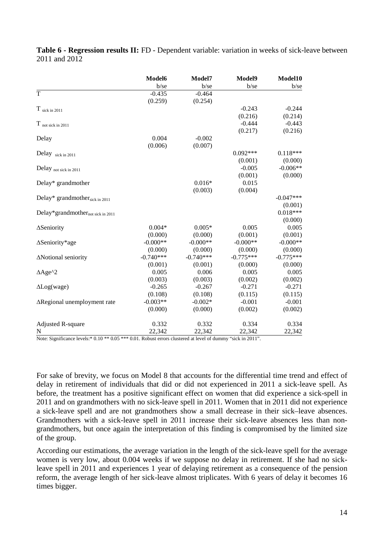|                                   | Model6      | Model7      | Model9      | Model10     |
|-----------------------------------|-------------|-------------|-------------|-------------|
|                                   | $b$ /se     | $b$ /se     | $b$ /se     | b/se        |
| T                                 | $-0.435$    | $-0.464$    |             |             |
|                                   | (0.259)     | (0.254)     |             |             |
| $T$ sick in 2011                  |             |             | $-0.243$    | $-0.244$    |
|                                   |             |             | (0.216)     | (0.214)     |
| $T$ not sick in 2011              |             |             | $-0.444$    | $-0.443$    |
|                                   |             |             | (0.217)     | (0.216)     |
| Delay                             | 0.004       | $-0.002$    |             |             |
|                                   | (0.006)     | (0.007)     |             |             |
| Delay sick in 2011                |             |             | $0.092***$  | $0.118***$  |
|                                   |             |             | (0.001)     | (0.000)     |
| Delay not sick in 2011            |             |             | $-0.005$    | $-0.006**$  |
|                                   |             |             | (0.001)     | (0.000)     |
| Delay* grandmother                |             | $0.016*$    | 0.015       |             |
|                                   |             | (0.003)     | (0.004)     |             |
| Delay* grandmothersick in 2011    |             |             |             | $-0.047***$ |
|                                   |             |             |             | (0.001)     |
| Delay*grandmothernot sick in 2011 |             |             |             | $0.018***$  |
|                                   |             |             |             | (0.000)     |
| ∆Seniority                        | $0.004*$    | $0.005*$    | 0.005       | 0.005       |
|                                   | (0.000)     | (0.000)     | (0.001)     | (0.001)     |
| ∆Seniority*age                    | $-0.000**$  | $-0.000**$  | $-0.000**$  | $-0.000**$  |
|                                   | (0.000)     | (0.000)     | (0.000)     | (0.000)     |
| ΔNotional seniority               | $-0.740***$ | $-0.740***$ | $-0.775***$ | $-0.775***$ |
|                                   | (0.001)     | (0.001)     | (0.000)     | (0.000)     |
| $\triangle$ Age <sup>^2</sup>     | 0.005       | 0.006       | 0.005       | 0.005       |
|                                   | (0.003)     | (0.003)     | (0.002)     | (0.002)     |
| $\Delta$ Log(wage)                | $-0.265$    | $-0.267$    | $-0.271$    | $-0.271$    |
|                                   | (0.108)     | (0.108)     | (0.115)     | (0.115)     |
| ∆Regional unemployment rate       | $-0.003**$  | $-0.002*$   | $-0.001$    | $-0.001$    |
|                                   | (0.000)     | (0.000)     | (0.002)     | (0.002)     |
|                                   |             |             |             |             |
| Adjusted R-square                 | 0.332       | 0.332       | 0.334       | 0.334       |
| N                                 | 22,342      | 22,342      | 22,342      | 22,342      |

**Table 6 - Regression results II:** FD - Dependent variable: variation in weeks of sick-leave between 2011 and 2012

Note: Significance levels:\* 0.10 \*\* 0.05 \*\*\* 0.01. Robust errors clustered at level of dummy "sick in 2011".

For sake of brevity, we focus on Model 8 that accounts for the differential time trend and effect of delay in retirement of individuals that did or did not experienced in 2011 a sick-leave spell. As before, the treatment has a positive significant effect on women that did experience a sick-spell in 2011 and on grandmothers with no sick-leave spell in 2011. Women that in 2011 did not experience a sick-leave spell and are not grandmothers show a small decrease in their sick–leave absences. Grandmothers with a sick-leave spell in 2011 increase their sick-leave absences less than nongrandmothers, but once again the interpretation of this finding is compromised by the limited size of the group.

According our estimations, the average variation in the length of the sick-leave spell for the average women is very low, about 0.004 weeks if we suppose no delay in retirement. If she had no sickleave spell in 2011 and experiences 1 year of delaying retirement as a consequence of the pension reform, the average length of her sick-leave almost triplicates. With 6 years of delay it becomes 16 times bigger.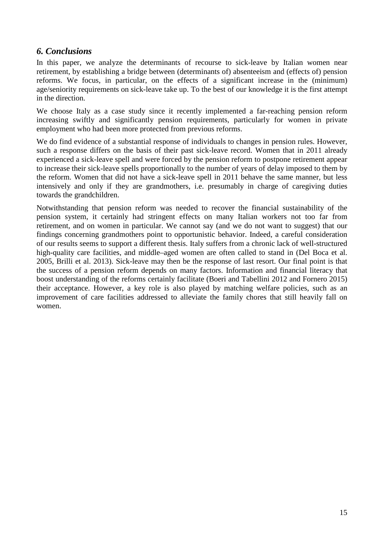## *6. Conclusions*

In this paper, we analyze the determinants of recourse to sick-leave by Italian women near retirement, by establishing a bridge between (determinants of) absenteeism and (effects of) pension reforms. We focus, in particular, on the effects of a significant increase in the (minimum) age/seniority requirements on sick-leave take up. To the best of our knowledge it is the first attempt in the direction.

We choose Italy as a case study since it recently implemented a far-reaching pension reform increasing swiftly and significantly pension requirements, particularly for women in private employment who had been more protected from previous reforms.

We do find evidence of a substantial response of individuals to changes in pension rules. However, such a response differs on the basis of their past sick-leave record. Women that in 2011 already experienced a sick-leave spell and were forced by the pension reform to postpone retirement appear to increase their sick-leave spells proportionally to the number of years of delay imposed to them by the reform. Women that did not have a sick-leave spell in 2011 behave the same manner, but less intensively and only if they are grandmothers, i.e. presumably in charge of caregiving duties towards the grandchildren.

Notwithstanding that pension reform was needed to recover the financial sustainability of the pension system, it certainly had stringent effects on many Italian workers not too far from retirement, and on women in particular. We cannot say (and we do not want to suggest) that our findings concerning grandmothers point to opportunistic behavior. Indeed, a careful consideration of our results seems to support a different thesis. Italy suffers from a chronic lack of well-structured high-quality care facilities, and middle–aged women are often called to stand in (Del Boca et al. 2005, Brilli et al. 2013). Sick-leave may then be the response of last resort. Our final point is that the success of a pension reform depends on many factors. Information and financial literacy that boost understanding of the reforms certainly facilitate (Boeri and Tabellini 2012 and Fornero 2015) their acceptance. However, a key role is also played by matching welfare policies, such as an improvement of care facilities addressed to alleviate the family chores that still heavily fall on women.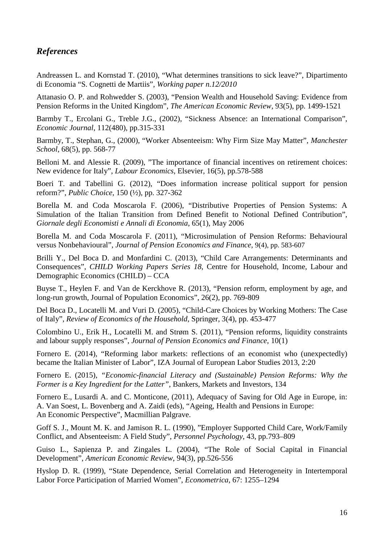# *References*

Andreassen L. and Kornstad T. (2010), "What determines transitions to sick leave?", Dipartimento di Economia "S. Cognetti de Martiis", *Working paper n.12/2010*

Attanasio O. P. and Rohwedder S. (2003), "Pension Wealth and Household Saving: Evidence from Pension Reforms in the United Kingdom", *The American Economic Review*, 93(5), pp. 1499-1521

Barmby T., Ercolani G., Treble J.G., (2002), "Sickness Absence: an International Comparison", *Economic Journal*, 112(480), pp.315-331

Barmby, T., Stephan, G., (2000), "Worker Absenteeism: Why Firm Size May Matter", *Manchester School*, 68(5), pp. 568-77

Belloni M. and Alessie R. (2009), "The importance of financial incentives on retirement choices: New evidence for Italy", *Labour Economics*, Elsevier, 16(5), pp.578-588

Boeri T. and Tabellini G. (2012), "Does information increase political support for pension reform?", *Public Choice*, 150 (½), pp. 327-362

Borella M. and Coda Moscarola F. (2006), "Distributive Properties of Pension Systems: A Simulation of the Italian Transition from Defined Benefit to Notional Defined Contribution", *Giornale degli Economisti e Annali di Economia*, 65(1), May 2006

Borella M. and Coda Moscarola F. (2011), "Microsimulation of Pension Reforms: Behavioural versus Nonbehavioural", *Journal of Pension Economics and Finance*, 9(4), pp. 583-607

Brilli Y., Del Boca D. and Monfardini C. (2013), "Child Care Arrangements: Determinants and Consequences", *CHILD Working Papers Series 18*, Centre for Household, Income, Labour and Demographic Economics (CHILD) – CCA

Buyse T., Heylen F. and Van de Kerckhove R. (2013), "Pension reform, employment by age, and long-run growth, Journal of Population Economics", 26(2), pp. 769-809

Del Boca D., Locatelli M. and Vuri D. (2005), "Child-Care Choices by Working Mothers: The Case of Italy", *Review of Economics of the Household*, Springer, 3(4), pp. 453-477

Colombino U., Erik H., Locatelli M. and Strøm S. (2011), "Pension reforms, liquidity constraints and labour supply responses", *Journal of Pension Economics and Finance*, 10(1)

Fornero E. (2014), "Reforming labor markets: reflections of an economist who (unexpectedly) became the Italian Minister of Labor", IZA Journal of European Labor Studies 2013, 2:20

Fornero E. (2015), *"Economic-financial Literacy and (Sustainable) Pension Reforms: Why the Former is a Key Ingredient for the Latter"*, Bankers, Markets and Investors, 134

Fornero E., Lusardi A. and C. Monticone, (2011), Adequacy of Saving for Old Age in Europe, in: A. Van Soest, L. Bovenberg and A. Zaidi (eds), "Ageing, Health and Pensions in Europe: An Economic Perspective", Macmillian Palgrave.

Goff S. J., Mount M. K. and Jamison R. L. (1990), "Employer Supported Child Care, Work/Family Conflict, and Absenteeism: A Field Study", *Personnel Psychology*, 43, pp.793–809

Guiso L., Sapienza P. and Zingales L. (2004), "The Role of Social Capital in Financial Development", *American Economic Review*, 94(3), pp.526-556

Hyslop D. R. (1999), "State Dependence, Serial Correlation and Heterogeneity in Intertemporal Labor Force Participation of Married Women", *Econometrica*, 67: 1255–1294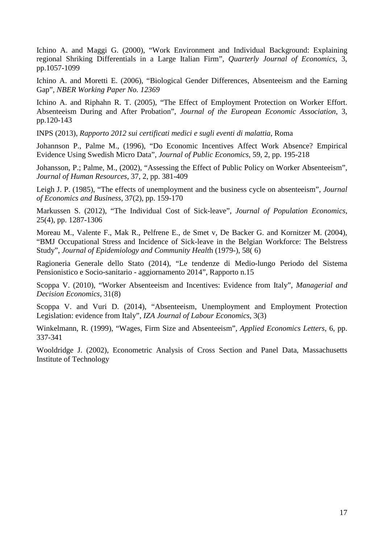Ichino A. and Maggi G. (2000), "Work Environment and Individual Background: Explaining regional Shriking Differentials in a Large Italian Firm", *Quarterly Journal of Economics*, 3, pp.1057-1099

Ichino A. and Moretti E. (2006), "Biological Gender Differences, Absenteeism and the Earning Gap", *NBER Working Paper No. 12369*

Ichino A. and Riphahn R. T. (2005), "The Effect of Employment Protection on Worker Effort. Absenteeism During and After Probation", *Journal of the European Economic Association*, 3, pp.120-143

INPS (2013), *Rapporto 2012 sui certificati medici e sugli eventi di malattia*, Roma

Johannson P., Palme M., (1996), "Do Economic Incentives Affect Work Absence? Empirical Evidence Using Swedish Micro Data", *Journal of Public Economics*, 59, 2, pp. 195-218

Johansson, P.; Palme, M., (2002), "Assessing the Effect of Public Policy on Worker Absenteeism", *Journal of Human Resources*, 37, 2, pp. 381-409

Leigh J. P. (1985), "The effects of unemployment and the business cycle on absenteeism", *Journal of Economics and Business*, 37(2), pp. 159-170

Markussen S. (2012), "The Individual Cost of Sick-leave", *Journal of Population Economics*, 25(4), pp. 1287-1306

Moreau M., Valente F., Mak R., Pelfrene E., de Smet v, De Backer G. and Kornitzer M. (2004), "BMJ Occupational Stress and Incidence of Sick-leave in the Belgian Workforce: The Belstress Study", *Journal of Epidemiology and Community Healt*h (1979-), 58( 6)

Ragioneria Generale dello Stato (2014), "Le tendenze di Medio-lungo Periodo del Sistema Pensionistico e Socio-sanitario - aggiornamento 2014", Rapporto n.15

Scoppa V. (2010), "Worker Absenteeism and Incentives: Evidence from Italy", *Managerial and Decision Economics*, 31(8)

Scoppa V. and Vuri D. (2014), "Absenteeism, Unemployment and Employment Protection Legislation: evidence from Italy", *IZA Journal of Labour Economics*, 3(3)

Winkelmann, R. (1999), "Wages, Firm Size and Absenteeism", *Applied Economics Letters*, 6, pp. 337-341

Wooldridge J. (2002), Econometric Analysis of Cross Section and Panel Data, Massachusetts Institute of Technology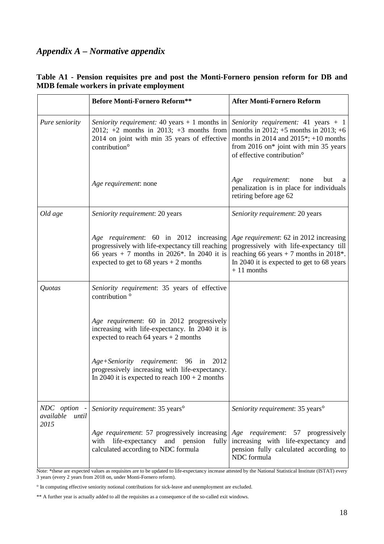# *Appendix A – Normative appendix*

|                                            | <b>Before Monti-Fornero Reform**</b>                                                                                                                                                  | <b>After Monti-Fornero Reform</b>                                                                                                                                                                                         |
|--------------------------------------------|---------------------------------------------------------------------------------------------------------------------------------------------------------------------------------------|---------------------------------------------------------------------------------------------------------------------------------------------------------------------------------------------------------------------------|
| Pure seniority                             | Seniority requirement: 40 years $+$ 1 months in<br>2012; $+2$ months in 2013; $+3$ months from<br>2014 on joint with min 35 years of effective<br>contribution <sup>o</sup>           | Seniority requirement: 41 years $+1$<br>months in 2012; $+5$ months in 2013; $+6$<br>months in 2014 and 2015 <sup>*</sup> ; +10 months<br>from 2016 on* joint with min 35 years<br>of effective contribution <sup>o</sup> |
|                                            | Age requirement: none                                                                                                                                                                 | requirement:<br>but<br>Age<br>none<br>a<br>penalization is in place for individuals<br>retiring before age 62                                                                                                             |
| Old age                                    | Seniority requirement: 20 years                                                                                                                                                       | Seniority requirement: 20 years                                                                                                                                                                                           |
|                                            | Age requirement: 60 in 2012 increasing<br>progressively with life-expectancy till reaching<br>66 years + 7 months in 2026*. In 2040 it is<br>expected to get to $68$ years + 2 months | Age requirement: 62 in 2012 increasing<br>progressively with life-expectancy till<br>reaching 66 years + 7 months in 2018*.<br>In 2040 it is expected to get to 68 years<br>$+11$ months                                  |
| Quotas                                     | Seniority requirement: 35 years of effective<br>contribution <sup>o</sup>                                                                                                             |                                                                                                                                                                                                                           |
|                                            | Age requirement: 60 in 2012 progressively<br>increasing with life-expectancy. In 2040 it is<br>expected to reach $64$ years + 2 months                                                |                                                                                                                                                                                                                           |
|                                            | Age+Seniority requirement: 96 in 2012<br>progressively increasing with life-expectancy.<br>In 2040 it is expected to reach $100 + 2$ months                                           |                                                                                                                                                                                                                           |
| NDC option -<br>available<br>until<br>2015 | Seniority requirement: 35 years <sup>o</sup>                                                                                                                                          | Seniority requirement: 35 years <sup>o</sup>                                                                                                                                                                              |
|                                            | <i>Age requirement:</i> 57 progressively increasing <i>Age requirement:</i> 57 progressively<br>with life-expectancy and pension fully<br>calculated according to NDC formula         | increasing with life-expectancy and<br>pension fully calculated according to<br>NDC formula                                                                                                                               |

#### **Table A1 - Pension requisites pre and post the Monti-Fornero pension reform for DB and MDB female workers in private employment**

Note: \*these are expected values as requisites are to be updated to life-expectancy increase attested by the National Statistical Institute (ISTAT) every 3 years (every 2 years from 2018 on, under Monti-Fornero reform).

° In computing effective seniority notional contributions for sick-leave and unemployment are excluded.

\*\* A further year is actually added to all the requisites as a consequence of the so-called exit windows.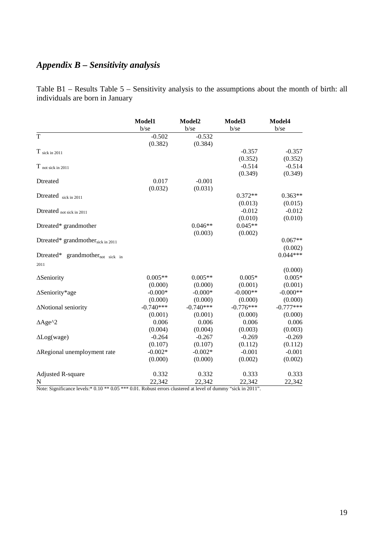# *Appendix B – Sensitivity analysis*

Table B1 – Results Table 5 – Sensitivity analysis to the assumptions about the month of birth: all individuals are born in January

|                                              | Model1<br>$b$ /se | Model2<br>$b$ /se | Model3<br>$b$ /se | Model4<br>$b$ /se     |
|----------------------------------------------|-------------------|-------------------|-------------------|-----------------------|
| $\overline{T}$                               | $-0.502$          | $-0.532$          |                   |                       |
|                                              | (0.382)           | (0.384)           |                   |                       |
| $T$ sick in 2011                             |                   |                   | $-0.357$          | $-0.357$              |
|                                              |                   |                   | (0.352)           | (0.352)               |
| $T$ not sick in 2011                         |                   |                   | $-0.514$          | $-0.514$              |
|                                              |                   |                   | (0.349)           | (0.349)               |
| Dtreated                                     | 0.017             | $-0.001$          |                   |                       |
|                                              | (0.032)           | (0.031)           |                   |                       |
| Dtreated sick in 2011                        |                   |                   | $0.372**$         | $0.363**$             |
|                                              |                   |                   | (0.013)           | (0.015)               |
| Dtreated $_{\text{not sick in 2011}}$        |                   |                   | $-0.012$          | $-0.012$              |
|                                              |                   |                   | (0.010)           | (0.010)               |
| Dtreated* grandmother                        |                   | $0.046**$         | $0.045**$         |                       |
|                                              |                   | (0.003)           | (0.002)           |                       |
| Dtreated* grandmothersick in 2011            |                   |                   |                   | $0.067**$             |
| Dtreated* grandmother <sub>not sick in</sub> |                   |                   |                   | (0.002)<br>$0.044***$ |
| 2011                                         |                   |                   |                   |                       |
|                                              |                   |                   |                   | (0.000)               |
| $\Delta$ Seniority                           | $0.005**$         | $0.005**$         | $0.005*$          | $0.005*$              |
|                                              | (0.000)           | (0.000)           | (0.001)           | (0.001)               |
| $\Delta$ Seniority*age                       | $-0.000*$         | $-0.000*$         | $-0.000**$        | $-0.000**$            |
|                                              | (0.000)           | (0.000)           | (0.000)           | (0.000)               |
| ANotional seniority                          | $-0.740***$       | $-0.740***$       | $-0.776***$       | $-0.777***$           |
|                                              | (0.001)           | (0.001)           | (0.000)           | (0.000)               |
| $\triangle$ Age <sup>^2</sup>                | 0.006             | 0.006             | 0.006             | 0.006                 |
|                                              | (0.004)           | (0.004)           | (0.003)           | (0.003)               |
| $\Delta$ Log(wage)                           | $-0.264$          | $-0.267$          | $-0.269$          | $-0.269$              |
|                                              | (0.107)           | (0.107)           | (0.112)           | (0.112)               |
| ∆Regional unemployment rate                  | $-0.002*$         | $-0.002*$         | $-0.001$          | $-0.001$              |
|                                              | (0.000)           | (0.000)           | (0.002)           | (0.002)               |
|                                              | 0.332             | 0.332             | 0.333             | 0.333                 |
| <b>Adjusted R-square</b><br>N                | 22,342            | 22,342            | 22,342            | 22,342                |
|                                              |                   |                   |                   |                       |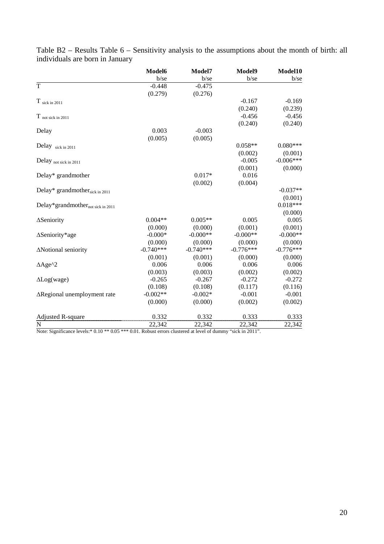|                                            | Model6      | Model7      | Model9      | Model10     |
|--------------------------------------------|-------------|-------------|-------------|-------------|
|                                            | $b$ /se     | $b$ /se     | $b$ /se     | $b$ /se     |
| T                                          | $-0.448$    | $-0.475$    |             |             |
|                                            | (0.279)     | (0.276)     |             |             |
| $T$ sick in 2011                           |             |             | $-0.167$    | $-0.169$    |
|                                            |             |             | (0.240)     | (0.239)     |
| $T$ not sick in 2011                       |             |             | $-0.456$    | $-0.456$    |
|                                            |             |             | (0.240)     | (0.240)     |
| Delay                                      | 0.003       | $-0.003$    |             |             |
|                                            | (0.005)     | (0.005)     |             |             |
| Delay sick in 2011                         |             |             | $0.058**$   | $0.080***$  |
|                                            |             |             | (0.002)     | (0.001)     |
| Delay not sick in 2011                     |             |             | $-0.005$    | $-0.006***$ |
|                                            |             |             | (0.001)     | (0.000)     |
| Delay* grandmother                         |             | $0.017*$    | 0.016       |             |
|                                            |             | (0.002)     | (0.004)     |             |
| Delay* grandmother <sub>sick</sub> in 2011 |             |             |             | $-0.037**$  |
|                                            |             |             |             | (0.001)     |
| Delay*grandmothernot sick in 2011          |             |             |             | $0.018***$  |
|                                            |             |             |             | (0.000)     |
| ∆Seniority                                 | $0.004**$   | $0.005**$   | 0.005       | 0.005       |
|                                            | (0.000)     | (0.000)     | (0.001)     | (0.001)     |
| ∆Seniority*age                             | $-0.000*$   | $-0.000**$  | $-0.000**$  | $-0.000**$  |
|                                            | (0.000)     | (0.000)     | (0.000)     | (0.000)     |
| ΔNotional seniority                        | $-0.740***$ | $-0.740***$ | $-0.776***$ | $-0.776***$ |
|                                            | (0.001)     | (0.001)     | (0.000)     | (0.000)     |
| $\triangle$ Age <sup>^2</sup>              | 0.006       | 0.006       | 0.006       | 0.006       |
|                                            | (0.003)     | (0.003)     | (0.002)     | (0.002)     |
| $\Delta$ Log(wage)                         | $-0.265$    | $-0.267$    | $-0.272$    | $-0.272$    |
|                                            | (0.108)     | (0.108)     | (0.117)     | (0.116)     |
| $\Delta$ Regional unemployment rate        | $-0.002**$  | $-0.002*$   | $-0.001$    | $-0.001$    |
|                                            | (0.000)     | (0.000)     | (0.002)     | (0.002)     |
| Adjusted R-square                          | 0.332       | 0.332       | 0.333       | 0.333       |
| N                                          | 22,342      | 22,342      | 22,342      | 22,342      |

Table B2 – Results Table 6 – Sensitivity analysis to the assumptions about the month of birth: all individuals are born in January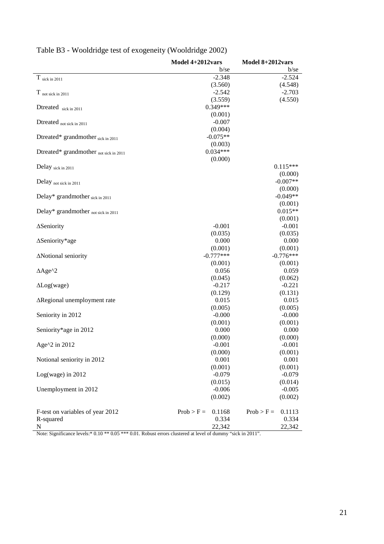| b/se<br>b/se<br>$\rm T$ sick in 2011<br>$-2.348$<br>$-2.524$<br>(3.560)<br>(4.548)<br>$-2.542$<br>$-2.703$<br>$T$ not sick in 2011<br>(3.559)<br>(4.550)<br>$0.349***$<br>Dtreated sick in 2011<br>(0.001)<br>$-0.007$<br>Dtreated not sick in 2011<br>(0.004)<br>$-0.075**$<br>Dtreated* grandmother sick in 2011<br>(0.003)<br>$0.034***$<br>Dtreated* grandmother not sick in 2011<br>(0.000)<br>$0.115***$<br>Delay sick in 2011<br>(0.000)<br>$-0.007**$<br>Delay not sick in 2011<br>(0.000)<br>$-0.049**$<br>Delay* grandmother sick in 2011<br>(0.001)<br>$0.015**$<br>Delay* grandmother not sick in 2011<br>(0.001)<br>$-0.001$<br>$-0.001$<br>∆Seniority<br>(0.035)<br>(0.035)<br>0.000<br>0.000<br>$\Delta$ Seniority*age<br>(0.001)<br>(0.001)<br>$-0.777***$<br>$-0.776***$<br>ANotional seniority<br>(0.001)<br>(0.001)<br>$\triangle$ Age <sup>^2</sup><br>0.056<br>0.059<br>(0.045)<br>(0.062)<br>$-0.217$<br>$-0.221$<br>$\Delta$ Log(wage)<br>(0.129)<br>(0.131)<br>0.015<br>0.015<br>∆Regional unemployment rate<br>(0.005)<br>(0.005)<br>$-0.000$<br>$-0.000$<br>Seniority in 2012<br>(0.001)<br>(0.001)<br>0.000<br>0.000<br>Seniority*age in 2012<br>(0.000)<br>(0.000)<br>Age^2 in 2012<br>$-0.001$<br>$-0.001$<br>(0.000)<br>(0.001)<br>0.001<br>0.001<br>Notional seniority in 2012<br>(0.001)<br>(0.001)<br>$Log(wage)$ in 2012<br>$-0.079$<br>$-0.079$<br>(0.015)<br>(0.014)<br>Unemployment in 2012<br>$-0.006$<br>$-0.005$<br>(0.002)<br>(0.002)<br>$Prob > F =$<br>F-test on variables of year 2012<br>0.1168<br>$Prob > F =$<br>0.1113<br>R-squared<br>0.334<br>0.334<br>$\mathbf N$<br>22,342<br>22,342 | Model $4+2012$ vars | Model $8+2012$ vars |  |
|------------------------------------------------------------------------------------------------------------------------------------------------------------------------------------------------------------------------------------------------------------------------------------------------------------------------------------------------------------------------------------------------------------------------------------------------------------------------------------------------------------------------------------------------------------------------------------------------------------------------------------------------------------------------------------------------------------------------------------------------------------------------------------------------------------------------------------------------------------------------------------------------------------------------------------------------------------------------------------------------------------------------------------------------------------------------------------------------------------------------------------------------------------------------------------------------------------------------------------------------------------------------------------------------------------------------------------------------------------------------------------------------------------------------------------------------------------------------------------------------------------------------------------------------------------------------------------------------------------------------------------------|---------------------|---------------------|--|
|                                                                                                                                                                                                                                                                                                                                                                                                                                                                                                                                                                                                                                                                                                                                                                                                                                                                                                                                                                                                                                                                                                                                                                                                                                                                                                                                                                                                                                                                                                                                                                                                                                          |                     |                     |  |
|                                                                                                                                                                                                                                                                                                                                                                                                                                                                                                                                                                                                                                                                                                                                                                                                                                                                                                                                                                                                                                                                                                                                                                                                                                                                                                                                                                                                                                                                                                                                                                                                                                          |                     |                     |  |
|                                                                                                                                                                                                                                                                                                                                                                                                                                                                                                                                                                                                                                                                                                                                                                                                                                                                                                                                                                                                                                                                                                                                                                                                                                                                                                                                                                                                                                                                                                                                                                                                                                          |                     |                     |  |
|                                                                                                                                                                                                                                                                                                                                                                                                                                                                                                                                                                                                                                                                                                                                                                                                                                                                                                                                                                                                                                                                                                                                                                                                                                                                                                                                                                                                                                                                                                                                                                                                                                          |                     |                     |  |
|                                                                                                                                                                                                                                                                                                                                                                                                                                                                                                                                                                                                                                                                                                                                                                                                                                                                                                                                                                                                                                                                                                                                                                                                                                                                                                                                                                                                                                                                                                                                                                                                                                          |                     |                     |  |
|                                                                                                                                                                                                                                                                                                                                                                                                                                                                                                                                                                                                                                                                                                                                                                                                                                                                                                                                                                                                                                                                                                                                                                                                                                                                                                                                                                                                                                                                                                                                                                                                                                          |                     |                     |  |
|                                                                                                                                                                                                                                                                                                                                                                                                                                                                                                                                                                                                                                                                                                                                                                                                                                                                                                                                                                                                                                                                                                                                                                                                                                                                                                                                                                                                                                                                                                                                                                                                                                          |                     |                     |  |
|                                                                                                                                                                                                                                                                                                                                                                                                                                                                                                                                                                                                                                                                                                                                                                                                                                                                                                                                                                                                                                                                                                                                                                                                                                                                                                                                                                                                                                                                                                                                                                                                                                          |                     |                     |  |
|                                                                                                                                                                                                                                                                                                                                                                                                                                                                                                                                                                                                                                                                                                                                                                                                                                                                                                                                                                                                                                                                                                                                                                                                                                                                                                                                                                                                                                                                                                                                                                                                                                          |                     |                     |  |
|                                                                                                                                                                                                                                                                                                                                                                                                                                                                                                                                                                                                                                                                                                                                                                                                                                                                                                                                                                                                                                                                                                                                                                                                                                                                                                                                                                                                                                                                                                                                                                                                                                          |                     |                     |  |
|                                                                                                                                                                                                                                                                                                                                                                                                                                                                                                                                                                                                                                                                                                                                                                                                                                                                                                                                                                                                                                                                                                                                                                                                                                                                                                                                                                                                                                                                                                                                                                                                                                          |                     |                     |  |
|                                                                                                                                                                                                                                                                                                                                                                                                                                                                                                                                                                                                                                                                                                                                                                                                                                                                                                                                                                                                                                                                                                                                                                                                                                                                                                                                                                                                                                                                                                                                                                                                                                          |                     |                     |  |
|                                                                                                                                                                                                                                                                                                                                                                                                                                                                                                                                                                                                                                                                                                                                                                                                                                                                                                                                                                                                                                                                                                                                                                                                                                                                                                                                                                                                                                                                                                                                                                                                                                          |                     |                     |  |
|                                                                                                                                                                                                                                                                                                                                                                                                                                                                                                                                                                                                                                                                                                                                                                                                                                                                                                                                                                                                                                                                                                                                                                                                                                                                                                                                                                                                                                                                                                                                                                                                                                          |                     |                     |  |
|                                                                                                                                                                                                                                                                                                                                                                                                                                                                                                                                                                                                                                                                                                                                                                                                                                                                                                                                                                                                                                                                                                                                                                                                                                                                                                                                                                                                                                                                                                                                                                                                                                          |                     |                     |  |
|                                                                                                                                                                                                                                                                                                                                                                                                                                                                                                                                                                                                                                                                                                                                                                                                                                                                                                                                                                                                                                                                                                                                                                                                                                                                                                                                                                                                                                                                                                                                                                                                                                          |                     |                     |  |
|                                                                                                                                                                                                                                                                                                                                                                                                                                                                                                                                                                                                                                                                                                                                                                                                                                                                                                                                                                                                                                                                                                                                                                                                                                                                                                                                                                                                                                                                                                                                                                                                                                          |                     |                     |  |
|                                                                                                                                                                                                                                                                                                                                                                                                                                                                                                                                                                                                                                                                                                                                                                                                                                                                                                                                                                                                                                                                                                                                                                                                                                                                                                                                                                                                                                                                                                                                                                                                                                          |                     |                     |  |
|                                                                                                                                                                                                                                                                                                                                                                                                                                                                                                                                                                                                                                                                                                                                                                                                                                                                                                                                                                                                                                                                                                                                                                                                                                                                                                                                                                                                                                                                                                                                                                                                                                          |                     |                     |  |
|                                                                                                                                                                                                                                                                                                                                                                                                                                                                                                                                                                                                                                                                                                                                                                                                                                                                                                                                                                                                                                                                                                                                                                                                                                                                                                                                                                                                                                                                                                                                                                                                                                          |                     |                     |  |
|                                                                                                                                                                                                                                                                                                                                                                                                                                                                                                                                                                                                                                                                                                                                                                                                                                                                                                                                                                                                                                                                                                                                                                                                                                                                                                                                                                                                                                                                                                                                                                                                                                          |                     |                     |  |
|                                                                                                                                                                                                                                                                                                                                                                                                                                                                                                                                                                                                                                                                                                                                                                                                                                                                                                                                                                                                                                                                                                                                                                                                                                                                                                                                                                                                                                                                                                                                                                                                                                          |                     |                     |  |
|                                                                                                                                                                                                                                                                                                                                                                                                                                                                                                                                                                                                                                                                                                                                                                                                                                                                                                                                                                                                                                                                                                                                                                                                                                                                                                                                                                                                                                                                                                                                                                                                                                          |                     |                     |  |
|                                                                                                                                                                                                                                                                                                                                                                                                                                                                                                                                                                                                                                                                                                                                                                                                                                                                                                                                                                                                                                                                                                                                                                                                                                                                                                                                                                                                                                                                                                                                                                                                                                          |                     |                     |  |
|                                                                                                                                                                                                                                                                                                                                                                                                                                                                                                                                                                                                                                                                                                                                                                                                                                                                                                                                                                                                                                                                                                                                                                                                                                                                                                                                                                                                                                                                                                                                                                                                                                          |                     |                     |  |
|                                                                                                                                                                                                                                                                                                                                                                                                                                                                                                                                                                                                                                                                                                                                                                                                                                                                                                                                                                                                                                                                                                                                                                                                                                                                                                                                                                                                                                                                                                                                                                                                                                          |                     |                     |  |
|                                                                                                                                                                                                                                                                                                                                                                                                                                                                                                                                                                                                                                                                                                                                                                                                                                                                                                                                                                                                                                                                                                                                                                                                                                                                                                                                                                                                                                                                                                                                                                                                                                          |                     |                     |  |
|                                                                                                                                                                                                                                                                                                                                                                                                                                                                                                                                                                                                                                                                                                                                                                                                                                                                                                                                                                                                                                                                                                                                                                                                                                                                                                                                                                                                                                                                                                                                                                                                                                          |                     |                     |  |
|                                                                                                                                                                                                                                                                                                                                                                                                                                                                                                                                                                                                                                                                                                                                                                                                                                                                                                                                                                                                                                                                                                                                                                                                                                                                                                                                                                                                                                                                                                                                                                                                                                          |                     |                     |  |
|                                                                                                                                                                                                                                                                                                                                                                                                                                                                                                                                                                                                                                                                                                                                                                                                                                                                                                                                                                                                                                                                                                                                                                                                                                                                                                                                                                                                                                                                                                                                                                                                                                          |                     |                     |  |
|                                                                                                                                                                                                                                                                                                                                                                                                                                                                                                                                                                                                                                                                                                                                                                                                                                                                                                                                                                                                                                                                                                                                                                                                                                                                                                                                                                                                                                                                                                                                                                                                                                          |                     |                     |  |
|                                                                                                                                                                                                                                                                                                                                                                                                                                                                                                                                                                                                                                                                                                                                                                                                                                                                                                                                                                                                                                                                                                                                                                                                                                                                                                                                                                                                                                                                                                                                                                                                                                          |                     |                     |  |
|                                                                                                                                                                                                                                                                                                                                                                                                                                                                                                                                                                                                                                                                                                                                                                                                                                                                                                                                                                                                                                                                                                                                                                                                                                                                                                                                                                                                                                                                                                                                                                                                                                          |                     |                     |  |
|                                                                                                                                                                                                                                                                                                                                                                                                                                                                                                                                                                                                                                                                                                                                                                                                                                                                                                                                                                                                                                                                                                                                                                                                                                                                                                                                                                                                                                                                                                                                                                                                                                          |                     |                     |  |
|                                                                                                                                                                                                                                                                                                                                                                                                                                                                                                                                                                                                                                                                                                                                                                                                                                                                                                                                                                                                                                                                                                                                                                                                                                                                                                                                                                                                                                                                                                                                                                                                                                          |                     |                     |  |
|                                                                                                                                                                                                                                                                                                                                                                                                                                                                                                                                                                                                                                                                                                                                                                                                                                                                                                                                                                                                                                                                                                                                                                                                                                                                                                                                                                                                                                                                                                                                                                                                                                          |                     |                     |  |
|                                                                                                                                                                                                                                                                                                                                                                                                                                                                                                                                                                                                                                                                                                                                                                                                                                                                                                                                                                                                                                                                                                                                                                                                                                                                                                                                                                                                                                                                                                                                                                                                                                          |                     |                     |  |
|                                                                                                                                                                                                                                                                                                                                                                                                                                                                                                                                                                                                                                                                                                                                                                                                                                                                                                                                                                                                                                                                                                                                                                                                                                                                                                                                                                                                                                                                                                                                                                                                                                          |                     |                     |  |
|                                                                                                                                                                                                                                                                                                                                                                                                                                                                                                                                                                                                                                                                                                                                                                                                                                                                                                                                                                                                                                                                                                                                                                                                                                                                                                                                                                                                                                                                                                                                                                                                                                          |                     |                     |  |
|                                                                                                                                                                                                                                                                                                                                                                                                                                                                                                                                                                                                                                                                                                                                                                                                                                                                                                                                                                                                                                                                                                                                                                                                                                                                                                                                                                                                                                                                                                                                                                                                                                          |                     |                     |  |
|                                                                                                                                                                                                                                                                                                                                                                                                                                                                                                                                                                                                                                                                                                                                                                                                                                                                                                                                                                                                                                                                                                                                                                                                                                                                                                                                                                                                                                                                                                                                                                                                                                          |                     |                     |  |
|                                                                                                                                                                                                                                                                                                                                                                                                                                                                                                                                                                                                                                                                                                                                                                                                                                                                                                                                                                                                                                                                                                                                                                                                                                                                                                                                                                                                                                                                                                                                                                                                                                          |                     |                     |  |
|                                                                                                                                                                                                                                                                                                                                                                                                                                                                                                                                                                                                                                                                                                                                                                                                                                                                                                                                                                                                                                                                                                                                                                                                                                                                                                                                                                                                                                                                                                                                                                                                                                          |                     |                     |  |
|                                                                                                                                                                                                                                                                                                                                                                                                                                                                                                                                                                                                                                                                                                                                                                                                                                                                                                                                                                                                                                                                                                                                                                                                                                                                                                                                                                                                                                                                                                                                                                                                                                          |                     |                     |  |
|                                                                                                                                                                                                                                                                                                                                                                                                                                                                                                                                                                                                                                                                                                                                                                                                                                                                                                                                                                                                                                                                                                                                                                                                                                                                                                                                                                                                                                                                                                                                                                                                                                          |                     |                     |  |
|                                                                                                                                                                                                                                                                                                                                                                                                                                                                                                                                                                                                                                                                                                                                                                                                                                                                                                                                                                                                                                                                                                                                                                                                                                                                                                                                                                                                                                                                                                                                                                                                                                          |                     |                     |  |
|                                                                                                                                                                                                                                                                                                                                                                                                                                                                                                                                                                                                                                                                                                                                                                                                                                                                                                                                                                                                                                                                                                                                                                                                                                                                                                                                                                                                                                                                                                                                                                                                                                          |                     |                     |  |
|                                                                                                                                                                                                                                                                                                                                                                                                                                                                                                                                                                                                                                                                                                                                                                                                                                                                                                                                                                                                                                                                                                                                                                                                                                                                                                                                                                                                                                                                                                                                                                                                                                          |                     |                     |  |
|                                                                                                                                                                                                                                                                                                                                                                                                                                                                                                                                                                                                                                                                                                                                                                                                                                                                                                                                                                                                                                                                                                                                                                                                                                                                                                                                                                                                                                                                                                                                                                                                                                          |                     |                     |  |

# Table B3 - Wooldridge test of exogeneity (Wooldridge 2002)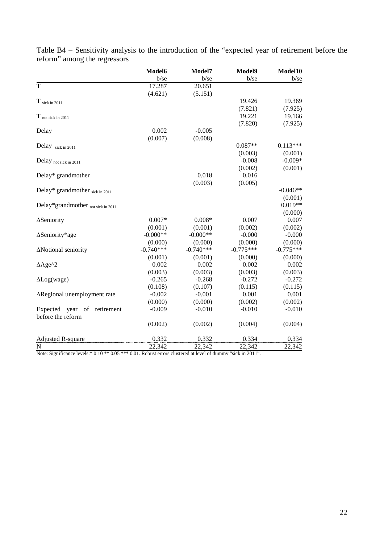|                                                        | Model6      | Model7      | Model9      | Model10     |
|--------------------------------------------------------|-------------|-------------|-------------|-------------|
|                                                        | $b$ /se     | b/se        | $b$ /se     | b/se        |
| $\overline{T}$                                         | 17.287      | 20.651      |             |             |
|                                                        | (4.621)     | (5.151)     |             |             |
| $T$ sick in 2011                                       |             |             | 19.426      | 19.369      |
|                                                        |             |             | (7.821)     | (7.925)     |
| $T$ not sick in 2011                                   |             |             | 19.221      | 19.166      |
|                                                        |             |             | (7.820)     | (7.925)     |
| Delay                                                  | 0.002       | $-0.005$    |             |             |
|                                                        | (0.007)     | (0.008)     |             |             |
| Delay sick in 2011                                     |             |             | $0.087**$   | $0.113***$  |
|                                                        |             |             | (0.003)     | (0.001)     |
| Delay not sick in 2011                                 |             |             | $-0.008$    | $-0.009*$   |
|                                                        |             |             | (0.002)     | (0.001)     |
| Delay* grandmother                                     |             | 0.018       | 0.016       |             |
|                                                        |             | (0.003)     | (0.005)     |             |
| Delay* grandmother sick in 2011                        |             |             |             | $-0.046**$  |
|                                                        |             |             |             | (0.001)     |
| Delay*grandmother not sick in 2011                     |             |             |             | $0.019**$   |
|                                                        |             |             |             | (0.000)     |
| ∆Seniority                                             | $0.007*$    | $0.008*$    | 0.007       | 0.007       |
|                                                        | (0.001)     | (0.001)     | (0.002)     | (0.002)     |
| ∆Seniority*age                                         | $-0.000**$  | $-0.000**$  | $-0.000$    | $-0.000$    |
|                                                        | (0.000)     | (0.000)     | (0.000)     | (0.000)     |
| ΔNotional seniority                                    | $-0.740***$ | $-0.740***$ | $-0.775***$ | $-0.775***$ |
|                                                        | (0.001)     | (0.001)     | (0.000)     | (0.000)     |
| $\triangle$ Age <sup>^2</sup>                          | 0.002       | 0.002       | 0.002       | 0.002       |
|                                                        | (0.003)     | (0.003)     | (0.003)     | (0.003)     |
| $\Delta$ Log(wage)                                     | $-0.265$    | $-0.268$    | $-0.272$    | $-0.272$    |
|                                                        | (0.108)     | (0.107)     | (0.115)     | (0.115)     |
| ∆Regional unemployment rate                            | $-0.002$    | $-0.001$    | 0.001       | 0.001       |
|                                                        | (0.000)     | (0.000)     | (0.002)     | (0.002)     |
| Expected year<br>of<br>retirement<br>before the reform | $-0.009$    | $-0.010$    | $-0.010$    | $-0.010$    |
|                                                        | (0.002)     | (0.002)     | (0.004)     | (0.004)     |
| Adjusted R-square                                      | 0.332       | 0.332       | 0.334       | 0.334       |
| $\overline{N}$                                         | 22,342      | 22,342      | 22,342      | 22,342      |

Table B4 – Sensitivity analysis to the introduction of the "expected year of retirement before the reform" among the regressors